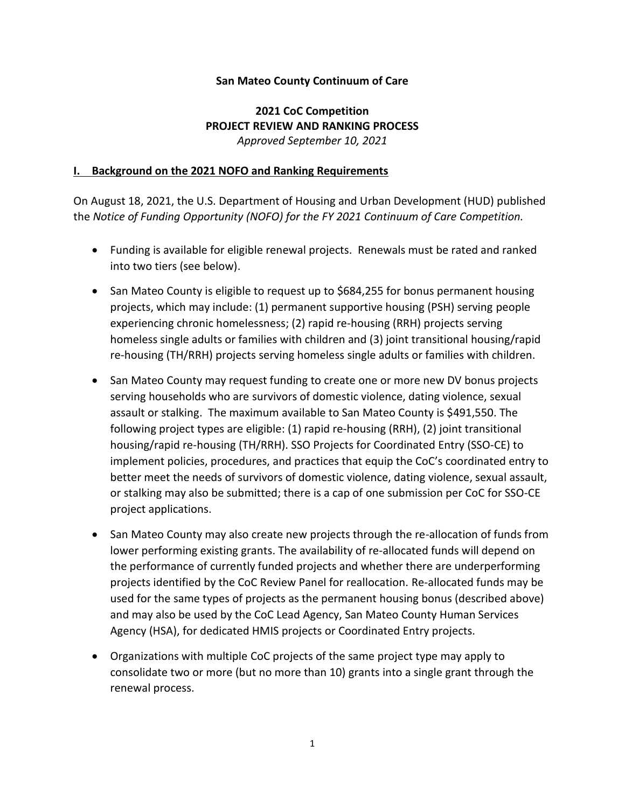#### **San Mateo County Continuum of Care**

### **2021 CoC Competition PROJECT REVIEW AND RANKING PROCESS** *Approved September 10, 2021*

#### **I. Background on the 2021 NOFO and Ranking Requirements**

On August 18, 2021, the U.S. Department of Housing and Urban Development (HUD) published the *Notice of Funding Opportunity (NOFO) for the FY 2021 Continuum of Care Competition.*

- Funding is available for eligible renewal projects. Renewals must be rated and ranked into two tiers (see below).
- San Mateo County is eligible to request up to \$684,255 for bonus permanent housing projects, which may include: (1) permanent supportive housing (PSH) serving people experiencing chronic homelessness; (2) rapid re-housing (RRH) projects serving homeless single adults or families with children and (3) joint transitional housing/rapid re-housing (TH/RRH) projects serving homeless single adults or families with children.
- San Mateo County may request funding to create one or more new DV bonus projects serving households who are survivors of domestic violence, dating violence, sexual assault or stalking. The maximum available to San Mateo County is \$491,550. The following project types are eligible: (1) rapid re-housing (RRH), (2) joint transitional housing/rapid re-housing (TH/RRH). SSO Projects for Coordinated Entry (SSO-CE) to implement policies, procedures, and practices that equip the CoC's coordinated entry to better meet the needs of survivors of domestic violence, dating violence, sexual assault, or stalking may also be submitted; there is a cap of one submission per CoC for SSO-CE project applications.
- San Mateo County may also create new projects through the re-allocation of funds from lower performing existing grants. The availability of re-allocated funds will depend on the performance of currently funded projects and whether there are underperforming projects identified by the CoC Review Panel for reallocation. Re-allocated funds may be used for the same types of projects as the permanent housing bonus (described above) and may also be used by the CoC Lead Agency, San Mateo County Human Services Agency (HSA), for dedicated HMIS projects or Coordinated Entry projects.
- Organizations with multiple CoC projects of the same project type may apply to consolidate two or more (but no more than 10) grants into a single grant through the renewal process.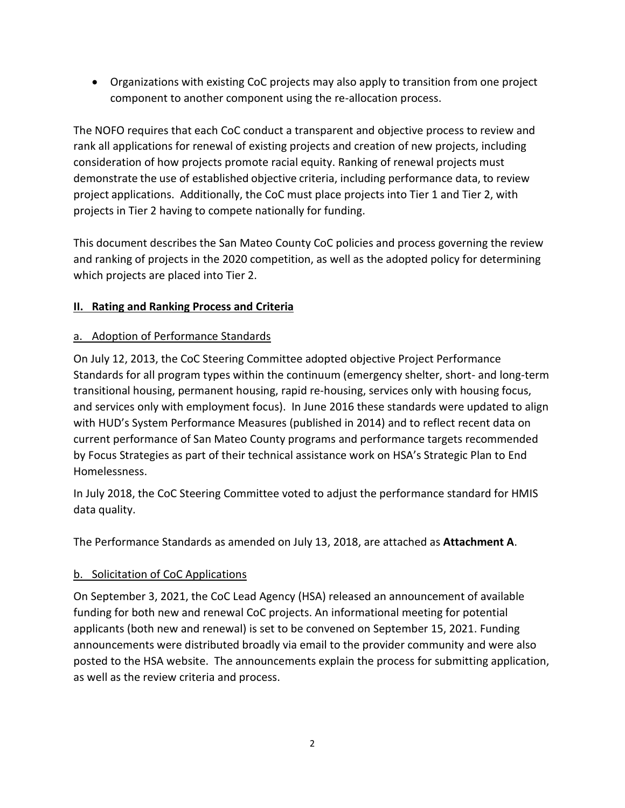• Organizations with existing CoC projects may also apply to transition from one project component to another component using the re-allocation process.

The NOFO requires that each CoC conduct a transparent and objective process to review and rank all applications for renewal of existing projects and creation of new projects, including consideration of how projects promote racial equity. Ranking of renewal projects must demonstrate the use of established objective criteria, including performance data, to review project applications. Additionally, the CoC must place projects into Tier 1 and Tier 2, with projects in Tier 2 having to compete nationally for funding.

This document describes the San Mateo County CoC policies and process governing the review and ranking of projects in the 2020 competition, as well as the adopted policy for determining which projects are placed into Tier 2.

## **II. Rating and Ranking Process and Criteria**

## a. Adoption of Performance Standards

On July 12, 2013, the CoC Steering Committee adopted objective Project Performance Standards for all program types within the continuum (emergency shelter, short- and long-term transitional housing, permanent housing, rapid re-housing, services only with housing focus, and services only with employment focus). In June 2016 these standards were updated to align with HUD's System Performance Measures (published in 2014) and to reflect recent data on current performance of San Mateo County programs and performance targets recommended by Focus Strategies as part of their technical assistance work on HSA's Strategic Plan to End Homelessness.

In July 2018, the CoC Steering Committee voted to adjust the performance standard for HMIS data quality.

The Performance Standards as amended on July 13, 2018, are attached as **Attachment A**.

### b. Solicitation of CoC Applications

On September 3, 2021, the CoC Lead Agency (HSA) released an announcement of available funding for both new and renewal CoC projects. An informational meeting for potential applicants (both new and renewal) is set to be convened on September 15, 2021. Funding announcements were distributed broadly via email to the provider community and were also posted to the HSA website. The announcements explain the process for submitting application, as well as the review criteria and process.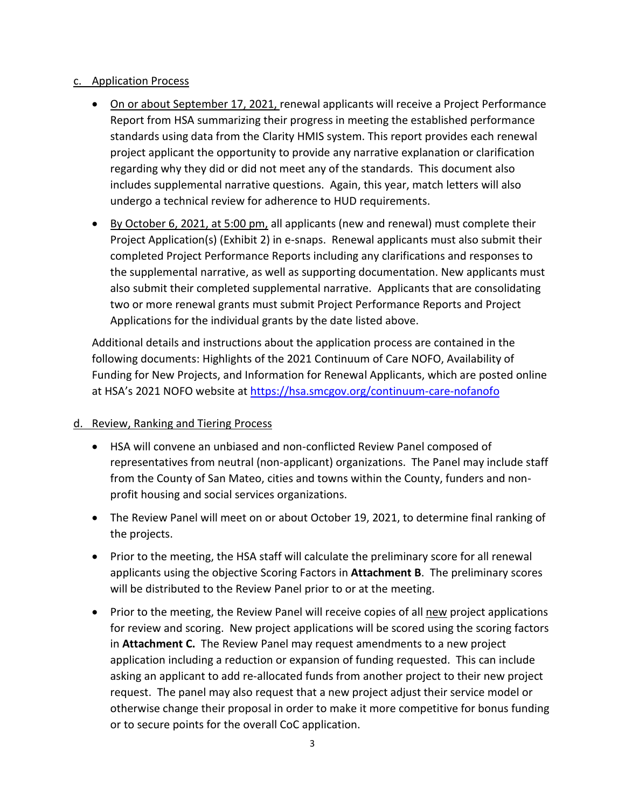#### c. Application Process

- On or about September 17, 2021, renewal applicants will receive a Project Performance Report from HSA summarizing their progress in meeting the established performance standards using data from the Clarity HMIS system. This report provides each renewal project applicant the opportunity to provide any narrative explanation or clarification regarding why they did or did not meet any of the standards. This document also includes supplemental narrative questions. Again, this year, match letters will also undergo a technical review for adherence to HUD requirements.
- By October 6, 2021, at 5:00 pm, all applicants (new and renewal) must complete their Project Application(s) (Exhibit 2) in e-snaps. Renewal applicants must also submit their completed Project Performance Reports including any clarifications and responses to the supplemental narrative, as well as supporting documentation. New applicants must also submit their completed supplemental narrative. Applicants that are consolidating two or more renewal grants must submit Project Performance Reports and Project Applications for the individual grants by the date listed above.

Additional details and instructions about the application process are contained in the following documents: Highlights of the 2021 Continuum of Care NOFO, Availability of Funding for New Projects, and Information for Renewal Applicants, which are posted online at HSA's 2021 NOFO website at<https://hsa.smcgov.org/continuum-care-nofanofo>

### d. Review, Ranking and Tiering Process

- HSA will convene an unbiased and non-conflicted Review Panel composed of representatives from neutral (non-applicant) organizations. The Panel may include staff from the County of San Mateo, cities and towns within the County, funders and nonprofit housing and social services organizations.
- The Review Panel will meet on or about October 19, 2021, to determine final ranking of the projects.
- Prior to the meeting, the HSA staff will calculate the preliminary score for all renewal applicants using the objective Scoring Factors in **Attachment B**. The preliminary scores will be distributed to the Review Panel prior to or at the meeting.
- Prior to the meeting, the Review Panel will receive copies of all new project applications for review and scoring. New project applications will be scored using the scoring factors in **Attachment C.** The Review Panel may request amendments to a new project application including a reduction or expansion of funding requested. This can include asking an applicant to add re-allocated funds from another project to their new project request. The panel may also request that a new project adjust their service model or otherwise change their proposal in order to make it more competitive for bonus funding or to secure points for the overall CoC application.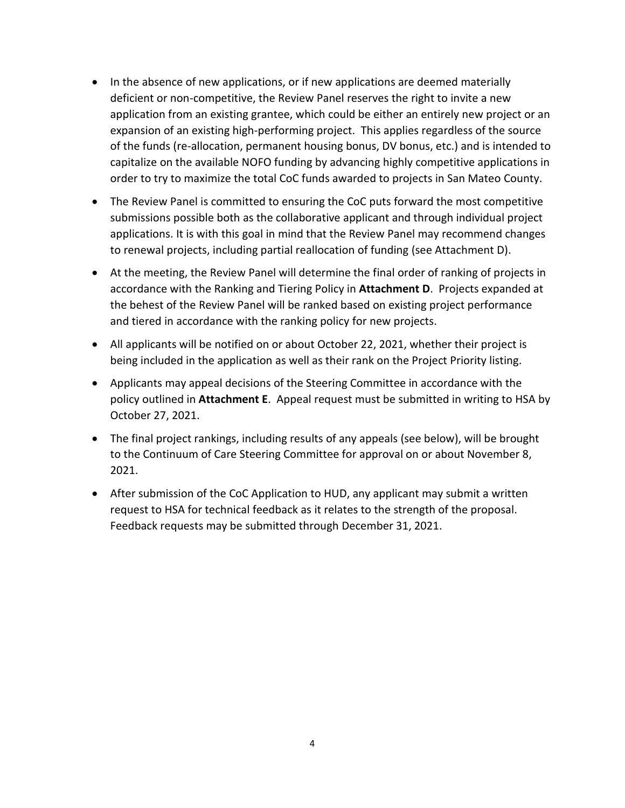- In the absence of new applications, or if new applications are deemed materially deficient or non-competitive, the Review Panel reserves the right to invite a new application from an existing grantee, which could be either an entirely new project or an expansion of an existing high-performing project. This applies regardless of the source of the funds (re-allocation, permanent housing bonus, DV bonus, etc.) and is intended to capitalize on the available NOFO funding by advancing highly competitive applications in order to try to maximize the total CoC funds awarded to projects in San Mateo County.
- The Review Panel is committed to ensuring the CoC puts forward the most competitive submissions possible both as the collaborative applicant and through individual project applications. It is with this goal in mind that the Review Panel may recommend changes to renewal projects, including partial reallocation of funding (see Attachment D).
- At the meeting, the Review Panel will determine the final order of ranking of projects in accordance with the Ranking and Tiering Policy in **Attachment D**. Projects expanded at the behest of the Review Panel will be ranked based on existing project performance and tiered in accordance with the ranking policy for new projects.
- All applicants will be notified on or about October 22, 2021, whether their project is being included in the application as well as their rank on the Project Priority listing.
- Applicants may appeal decisions of the Steering Committee in accordance with the policy outlined in **Attachment E**. Appeal request must be submitted in writing to HSA by October 27, 2021.
- The final project rankings, including results of any appeals (see below), will be brought to the Continuum of Care Steering Committee for approval on or about November 8, 2021.
- After submission of the CoC Application to HUD, any applicant may submit a written request to HSA for technical feedback as it relates to the strength of the proposal. Feedback requests may be submitted through December 31, 2021.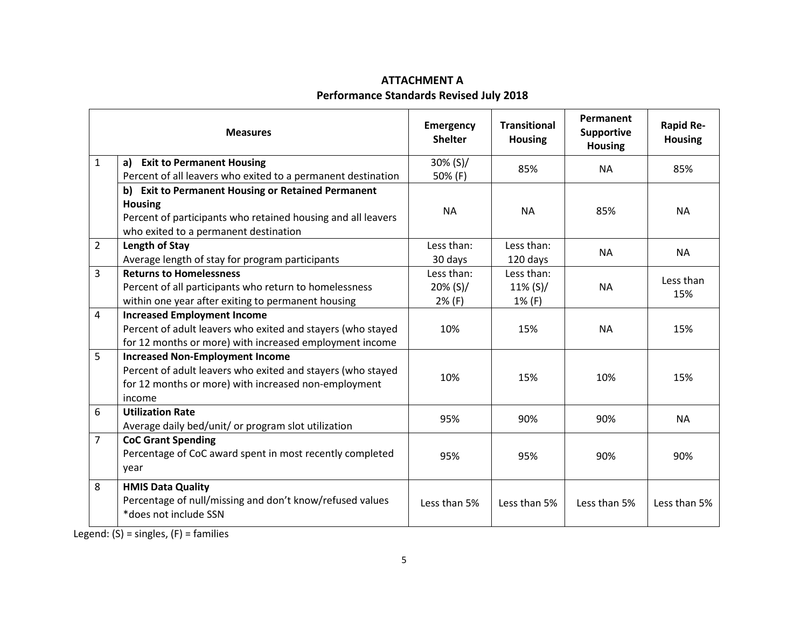# **ATTACHMENT A Performance Standards Revised July 2018**

|                | <b>Measures</b>                                              | <b>Emergency</b><br><b>Shelter</b> | <b>Transitional</b><br><b>Housing</b> | Permanent<br><b>Supportive</b><br><b>Housing</b> | <b>Rapid Re-</b><br><b>Housing</b> |
|----------------|--------------------------------------------------------------|------------------------------------|---------------------------------------|--------------------------------------------------|------------------------------------|
| $\mathbf{1}$   | a) Exit to Permanent Housing                                 | 30% (S)/                           | 85%                                   | <b>NA</b>                                        | 85%                                |
|                | Percent of all leavers who exited to a permanent destination | 50% (F)                            |                                       |                                                  |                                    |
|                | b) Exit to Permanent Housing or Retained Permanent           |                                    |                                       |                                                  |                                    |
|                | <b>Housing</b>                                               | <b>NA</b>                          | <b>NA</b>                             | 85%                                              | <b>NA</b>                          |
|                | Percent of participants who retained housing and all leavers |                                    |                                       |                                                  |                                    |
|                | who exited to a permanent destination                        |                                    |                                       |                                                  |                                    |
| $\overline{2}$ | Length of Stay                                               | Less than:                         | Less than:                            | <b>NA</b>                                        | <b>NA</b>                          |
|                | Average length of stay for program participants              | 30 days                            | 120 days                              |                                                  |                                    |
| 3              | <b>Returns to Homelessness</b>                               | Less than:                         | Less than:                            |                                                  | Less than                          |
|                | Percent of all participants who return to homelessness       | $20\%$ (S)/                        | $11\%$ (S)/                           | <b>NA</b>                                        | 15%                                |
|                | within one year after exiting to permanent housing           | 2% (F)                             | 1% (F)                                |                                                  |                                    |
| 4              | <b>Increased Employment Income</b>                           |                                    |                                       |                                                  |                                    |
|                | Percent of adult leavers who exited and stayers (who stayed  | 10%                                | 15%                                   | <b>NA</b>                                        | 15%                                |
|                | for 12 months or more) with increased employment income      |                                    |                                       |                                                  |                                    |
| 5              | <b>Increased Non-Employment Income</b>                       |                                    |                                       |                                                  |                                    |
|                | Percent of adult leavers who exited and stayers (who stayed  | 10%                                | 15%                                   | 10%                                              |                                    |
|                | for 12 months or more) with increased non-employment         |                                    |                                       |                                                  | 15%                                |
|                | income                                                       |                                    |                                       |                                                  |                                    |
| 6              | <b>Utilization Rate</b>                                      | 95%                                | 90%                                   | 90%                                              | <b>NA</b>                          |
|                | Average daily bed/unit/ or program slot utilization          |                                    |                                       |                                                  |                                    |
| $\overline{7}$ | <b>CoC Grant Spending</b>                                    |                                    |                                       |                                                  |                                    |
|                | Percentage of CoC award spent in most recently completed     | 95%                                | 95%                                   | 90%                                              | 90%                                |
|                | year                                                         |                                    |                                       |                                                  |                                    |
| 8              | <b>HMIS Data Quality</b>                                     |                                    |                                       |                                                  |                                    |
|                | Percentage of null/missing and don't know/refused values     | Less than 5%                       | Less than 5%                          | Less than 5%                                     | Less than 5%                       |
|                | *does not include SSN                                        |                                    |                                       |                                                  |                                    |
|                |                                                              |                                    |                                       |                                                  |                                    |

Legend:  $(S)$  = singles,  $(F)$  = families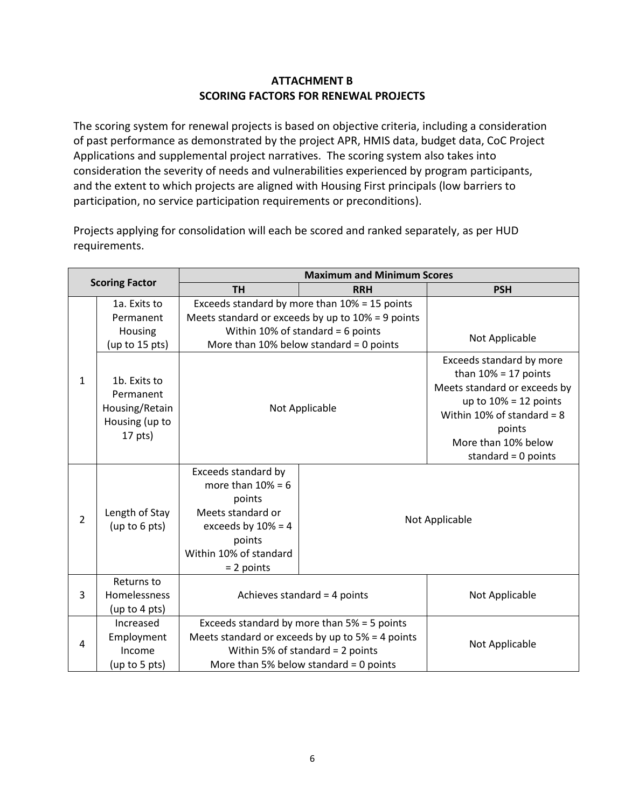### **ATTACHMENT B SCORING FACTORS FOR RENEWAL PROJECTS**

The scoring system for renewal projects is based on objective criteria, including a consideration of past performance as demonstrated by the project APR, HMIS data, budget data, CoC Project Applications and supplemental project narratives. The scoring system also takes into consideration the severity of needs and vulnerabilities experienced by program participants, and the extent to which projects are aligned with Housing First principals (low barriers to participation, no service participation requirements or preconditions).

Projects applying for consolidation will each be scored and ranked separately, as per HUD requirements.

| <b>Scoring Factor</b> |                                                                            | <b>Maximum and Minimum Scores</b>                                                                                                                      |                                                      |                                                                                                                                                                                                          |  |
|-----------------------|----------------------------------------------------------------------------|--------------------------------------------------------------------------------------------------------------------------------------------------------|------------------------------------------------------|----------------------------------------------------------------------------------------------------------------------------------------------------------------------------------------------------------|--|
|                       |                                                                            | <b>TH</b>                                                                                                                                              | <b>RRH</b>                                           | <b>PSH</b>                                                                                                                                                                                               |  |
|                       | 1a. Exits to                                                               |                                                                                                                                                        | Exceeds standard by more than 10% = 15 points        |                                                                                                                                                                                                          |  |
|                       | Permanent                                                                  |                                                                                                                                                        | Meets standard or exceeds by up to $10\%$ = 9 points |                                                                                                                                                                                                          |  |
|                       | Housing                                                                    |                                                                                                                                                        | Within 10% of standard = $6$ points                  | Not Applicable                                                                                                                                                                                           |  |
|                       | (up to 15 pts)                                                             | More than 10% below standard = 0 points                                                                                                                |                                                      |                                                                                                                                                                                                          |  |
| $\mathbf{1}$          | 1b. Exits to<br>Permanent<br>Housing/Retain<br>Housing (up to<br>$17$ pts) |                                                                                                                                                        | Not Applicable                                       | Exceeds standard by more<br>than $10% = 17$ points<br>Meets standard or exceeds by<br>up to $10\% = 12$ points<br>Within 10% of standard = $8$<br>points<br>More than 10% below<br>standard = $0$ points |  |
| $\overline{2}$        | Length of Stay<br>(up to 6 pts)                                            | Exceeds standard by<br>more than $10% = 6$<br>points<br>Meets standard or<br>exceeds by $10\% = 4$<br>points<br>Within 10% of standard<br>$= 2$ points | Not Applicable                                       |                                                                                                                                                                                                          |  |
| 3                     | Returns to<br>Homelessness<br>(up to 4 pts)                                | Achieves standard = $4$ points                                                                                                                         |                                                      | Not Applicable                                                                                                                                                                                           |  |
|                       | Increased                                                                  | Exceeds standard by more than $5% = 5$ points                                                                                                          |                                                      |                                                                                                                                                                                                          |  |
| 4                     | Employment<br>Income                                                       | Meets standard or exceeds by up to $5% = 4$ points<br>Within 5% of standard = $2$ points                                                               |                                                      | Not Applicable                                                                                                                                                                                           |  |
|                       | (up to 5 pts)                                                              | More than 5% below standard = 0 points                                                                                                                 |                                                      |                                                                                                                                                                                                          |  |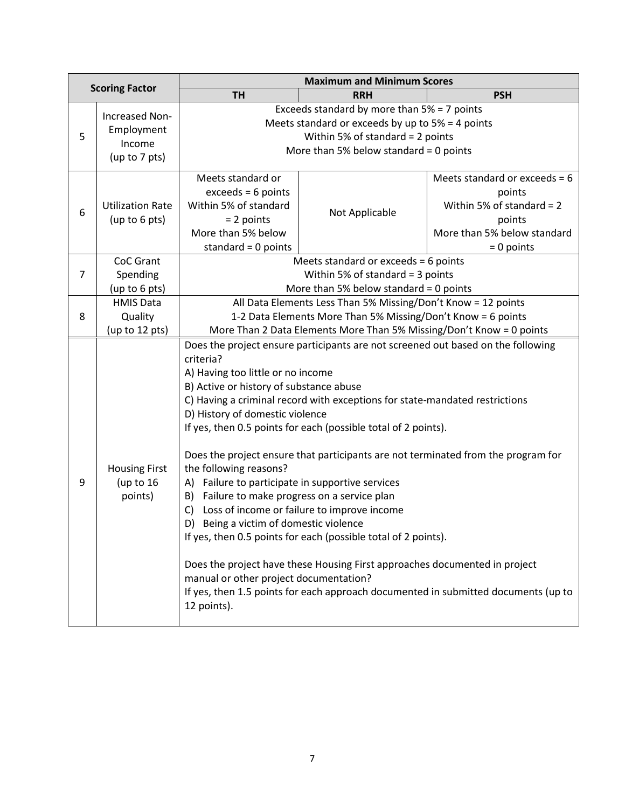|                       |                                                         | <b>Maximum and Minimum Scores</b>                                                                                                                                                                                                                                                                                                                                                                                                                                                                                                                                                                                                                                                                                                                                                                                                                                                                                                                                                         |                                                                                                                                                                                 |                                                                                                                                   |  |
|-----------------------|---------------------------------------------------------|-------------------------------------------------------------------------------------------------------------------------------------------------------------------------------------------------------------------------------------------------------------------------------------------------------------------------------------------------------------------------------------------------------------------------------------------------------------------------------------------------------------------------------------------------------------------------------------------------------------------------------------------------------------------------------------------------------------------------------------------------------------------------------------------------------------------------------------------------------------------------------------------------------------------------------------------------------------------------------------------|---------------------------------------------------------------------------------------------------------------------------------------------------------------------------------|-----------------------------------------------------------------------------------------------------------------------------------|--|
| <b>Scoring Factor</b> |                                                         | <b>TH</b>                                                                                                                                                                                                                                                                                                                                                                                                                                                                                                                                                                                                                                                                                                                                                                                                                                                                                                                                                                                 | <b>RRH</b>                                                                                                                                                                      | <b>PSH</b>                                                                                                                        |  |
| 5                     | Increased Non-<br>Employment<br>Income<br>(up to 7 pts) |                                                                                                                                                                                                                                                                                                                                                                                                                                                                                                                                                                                                                                                                                                                                                                                                                                                                                                                                                                                           | Exceeds standard by more than 5% = 7 points<br>Meets standard or exceeds by up to $5% = 4$ points<br>Within 5% of standard = 2 points<br>More than 5% below standard = 0 points |                                                                                                                                   |  |
| 6                     | <b>Utilization Rate</b><br>(up to 6 pts)                | Meets standard or<br>$exceeds = 6 points$<br>Within 5% of standard<br>$= 2$ points<br>More than 5% below<br>standard = $0$ points                                                                                                                                                                                                                                                                                                                                                                                                                                                                                                                                                                                                                                                                                                                                                                                                                                                         | Not Applicable                                                                                                                                                                  | Meets standard or exceeds = $6$<br>points<br>Within 5% of standard = $2$<br>points<br>More than 5% below standard<br>$= 0$ points |  |
| $\overline{7}$        | CoC Grant<br>Spending<br>(up to 6 pts)                  |                                                                                                                                                                                                                                                                                                                                                                                                                                                                                                                                                                                                                                                                                                                                                                                                                                                                                                                                                                                           | Meets standard or exceeds = $6$ points<br>Within 5% of standard = $3$ points<br>More than 5% below standard = 0 points                                                          |                                                                                                                                   |  |
| 8                     | <b>HMIS Data</b><br>Quality<br>(up to 12 pts)           | All Data Elements Less Than 5% Missing/Don't Know = 12 points<br>1-2 Data Elements More Than 5% Missing/Don't Know = 6 points<br>More Than 2 Data Elements More Than 5% Missing/Don't Know = 0 points                                                                                                                                                                                                                                                                                                                                                                                                                                                                                                                                                                                                                                                                                                                                                                                     |                                                                                                                                                                                 |                                                                                                                                   |  |
| 9                     | <b>Housing First</b><br>(up to $16$<br>points)          | Does the project ensure participants are not screened out based on the following<br>criteria?<br>A) Having too little or no income<br>B) Active or history of substance abuse<br>C) Having a criminal record with exceptions for state-mandated restrictions<br>D) History of domestic violence<br>If yes, then 0.5 points for each (possible total of 2 points).<br>Does the project ensure that participants are not terminated from the program for<br>the following reasons?<br>A) Failure to participate in supportive services<br>Failure to make progress on a service plan<br>B)<br>Loss of income or failure to improve income<br>C)<br>D)<br>Being a victim of domestic violence<br>If yes, then 0.5 points for each (possible total of 2 points).<br>Does the project have these Housing First approaches documented in project<br>manual or other project documentation?<br>If yes, then 1.5 points for each approach documented in submitted documents (up to<br>12 points). |                                                                                                                                                                                 |                                                                                                                                   |  |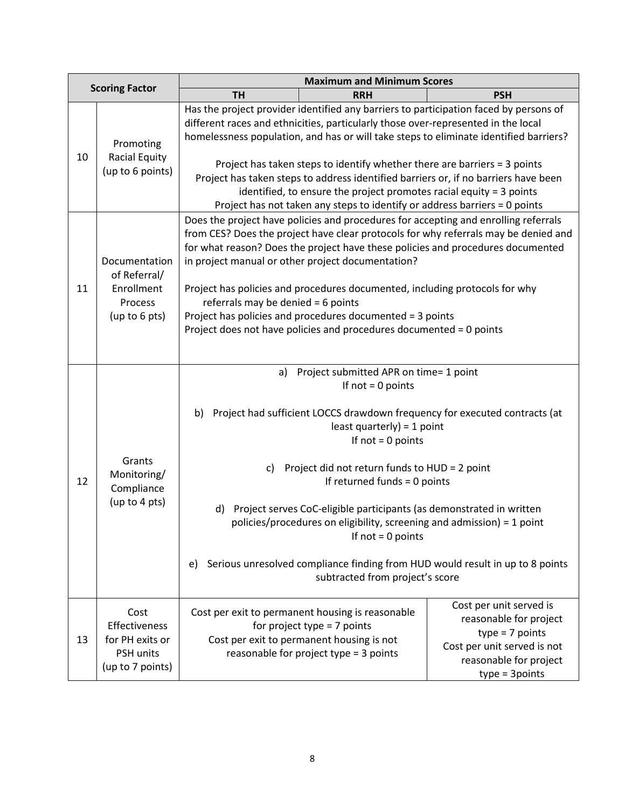|                       |                                                                           | <b>Maximum and Minimum Scores</b>                                                                                                                                                                                                                                                                                                                                                                                                                                                                                                                                                                              |            |                                                                                                                                                     |  |
|-----------------------|---------------------------------------------------------------------------|----------------------------------------------------------------------------------------------------------------------------------------------------------------------------------------------------------------------------------------------------------------------------------------------------------------------------------------------------------------------------------------------------------------------------------------------------------------------------------------------------------------------------------------------------------------------------------------------------------------|------------|-----------------------------------------------------------------------------------------------------------------------------------------------------|--|
| <b>Scoring Factor</b> |                                                                           | <b>TH</b>                                                                                                                                                                                                                                                                                                                                                                                                                                                                                                                                                                                                      | <b>RRH</b> | <b>PSH</b>                                                                                                                                          |  |
| 10                    | Promoting<br>Racial Equity<br>(up to 6 points)                            | Has the project provider identified any barriers to participation faced by persons of<br>different races and ethnicities, particularly those over-represented in the local<br>homelessness population, and has or will take steps to eliminate identified barriers?<br>Project has taken steps to identify whether there are barriers = 3 points<br>Project has taken steps to address identified barriers or, if no barriers have been<br>identified, to ensure the project promotes racial equity = 3 points<br>Project has not taken any steps to identify or address barriers = 0 points                   |            |                                                                                                                                                     |  |
| 11                    | Documentation<br>of Referral/<br>Enrollment<br>Process<br>(up to 6 pts)   | Does the project have policies and procedures for accepting and enrolling referrals<br>from CES? Does the project have clear protocols for why referrals may be denied and<br>for what reason? Does the project have these policies and procedures documented<br>in project manual or other project documentation?<br>Project has policies and procedures documented, including protocols for why<br>referrals may be denied $= 6$ points<br>Project has policies and procedures documented = 3 points<br>Project does not have policies and procedures documented = 0 points                                  |            |                                                                                                                                                     |  |
| 12                    | Grants<br>Monitoring/<br>Compliance<br>(up to 4 pts)                      | Project submitted APR on time= 1 point<br>a)<br>If $not = 0$ points<br>Project had sufficient LOCCS drawdown frequency for executed contracts (at<br>b)<br>least quarterly) = $1$ point<br>If $not = 0$ points<br>Project did not return funds to HUD = 2 point<br>C)<br>If returned funds = 0 points<br>Project serves CoC-eligible participants (as demonstrated in written<br>d)<br>policies/procedures on eligibility, screening and admission) = 1 point<br>If $not = 0$ points<br>Serious unresolved compliance finding from HUD would result in up to 8 points<br>e)<br>subtracted from project's score |            |                                                                                                                                                     |  |
| 13                    | Cost<br>Effectiveness<br>for PH exits or<br>PSH units<br>(up to 7 points) | Cost per exit to permanent housing is reasonable<br>for project type $= 7$ points<br>Cost per exit to permanent housing is not<br>reasonable for project type = 3 points                                                                                                                                                                                                                                                                                                                                                                                                                                       |            | Cost per unit served is<br>reasonable for project<br>$type = 7 points$<br>Cost per unit served is not<br>reasonable for project<br>$type = 3points$ |  |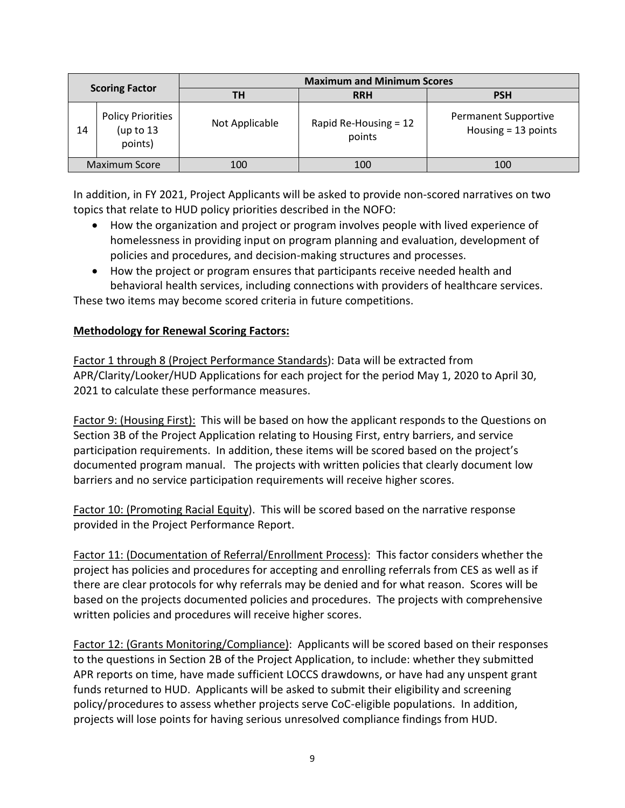| <b>Scoring Factor</b> |                                                    | <b>Maximum and Minimum Scores</b> |                                   |                                                      |  |
|-----------------------|----------------------------------------------------|-----------------------------------|-----------------------------------|------------------------------------------------------|--|
|                       |                                                    | ΤН                                | <b>RRH</b>                        | <b>PSH</b>                                           |  |
| 14                    | <b>Policy Priorities</b><br>(up to $13$<br>points) | Not Applicable                    | Rapid Re-Housing $= 12$<br>points | <b>Permanent Supportive</b><br>Housing $= 13$ points |  |
|                       | <b>Maximum Score</b>                               | 100                               | 100                               | 100                                                  |  |

In addition, in FY 2021, Project Applicants will be asked to provide non-scored narratives on two topics that relate to HUD policy priorities described in the NOFO:

- How the organization and project or program involves people with lived experience of homelessness in providing input on program planning and evaluation, development of policies and procedures, and decision-making structures and processes.
- How the project or program ensures that participants receive needed health and behavioral health services, including connections with providers of healthcare services.

These two items may become scored criteria in future competitions.

### **Methodology for Renewal Scoring Factors:**

Factor 1 through 8 (Project Performance Standards): Data will be extracted from APR/Clarity/Looker/HUD Applications for each project for the period May 1, 2020 to April 30, 2021 to calculate these performance measures.

Factor 9: (Housing First): This will be based on how the applicant responds to the Questions on Section 3B of the Project Application relating to Housing First, entry barriers, and service participation requirements. In addition, these items will be scored based on the project's documented program manual. The projects with written policies that clearly document low barriers and no service participation requirements will receive higher scores.

Factor 10: (Promoting Racial Equity). This will be scored based on the narrative response provided in the Project Performance Report.

Factor 11: (Documentation of Referral/Enrollment Process): This factor considers whether the project has policies and procedures for accepting and enrolling referrals from CES as well as if there are clear protocols for why referrals may be denied and for what reason. Scores will be based on the projects documented policies and procedures. The projects with comprehensive written policies and procedures will receive higher scores.

Factor 12: (Grants Monitoring/Compliance): Applicants will be scored based on their responses to the questions in Section 2B of the Project Application, to include: whether they submitted APR reports on time, have made sufficient LOCCS drawdowns, or have had any unspent grant funds returned to HUD. Applicants will be asked to submit their eligibility and screening policy/procedures to assess whether projects serve CoC-eligible populations. In addition, projects will lose points for having serious unresolved compliance findings from HUD.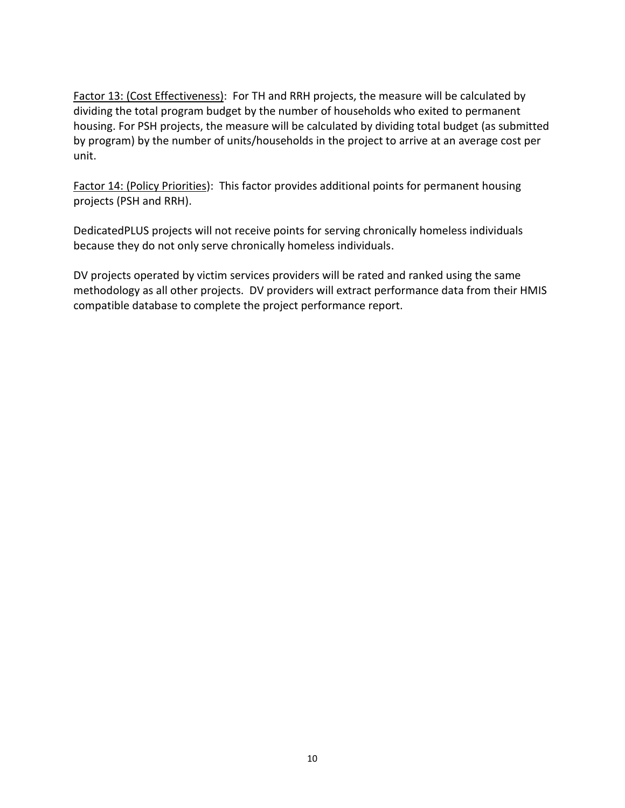Factor 13: (Cost Effectiveness): For TH and RRH projects, the measure will be calculated by dividing the total program budget by the number of households who exited to permanent housing. For PSH projects, the measure will be calculated by dividing total budget (as submitted by program) by the number of units/households in the project to arrive at an average cost per unit.

Factor 14: (Policy Priorities): This factor provides additional points for permanent housing projects (PSH and RRH).

DedicatedPLUS projects will not receive points for serving chronically homeless individuals because they do not only serve chronically homeless individuals.

DV projects operated by victim services providers will be rated and ranked using the same methodology as all other projects. DV providers will extract performance data from their HMIS compatible database to complete the project performance report.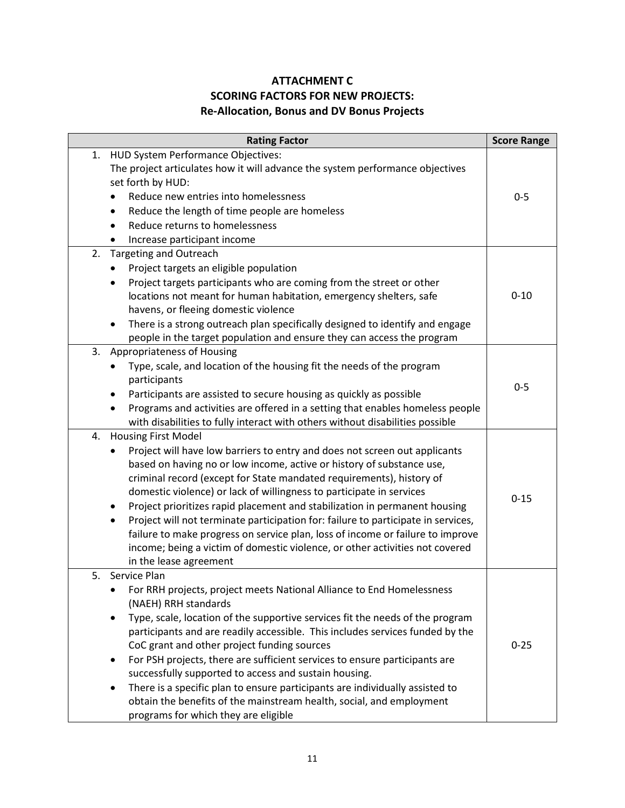## **ATTACHMENT C SCORING FACTORS FOR NEW PROJECTS: Re-Allocation, Bonus and DV Bonus Projects**

| <b>Rating Factor</b>                                                                                                                                                                                                                                                                                                                                                                                                                                                                                                                                                                                                                                                                                   | <b>Score Range</b> |
|--------------------------------------------------------------------------------------------------------------------------------------------------------------------------------------------------------------------------------------------------------------------------------------------------------------------------------------------------------------------------------------------------------------------------------------------------------------------------------------------------------------------------------------------------------------------------------------------------------------------------------------------------------------------------------------------------------|--------------------|
| HUD System Performance Objectives:<br>1.<br>The project articulates how it will advance the system performance objectives<br>set forth by HUD:<br>Reduce new entries into homelessness<br>$\bullet$<br>Reduce the length of time people are homeless<br>Reduce returns to homelessness<br>Increase participant income                                                                                                                                                                                                                                                                                                                                                                                  | $0 - 5$            |
| 2.<br><b>Targeting and Outreach</b><br>Project targets an eligible population<br>Project targets participants who are coming from the street or other<br>٠<br>locations not meant for human habitation, emergency shelters, safe<br>havens, or fleeing domestic violence<br>There is a strong outreach plan specifically designed to identify and engage<br>$\bullet$<br>people in the target population and ensure they can access the program                                                                                                                                                                                                                                                        | $0 - 10$           |
| 3. Appropriateness of Housing<br>Type, scale, and location of the housing fit the needs of the program<br>$\bullet$<br>participants<br>Participants are assisted to secure housing as quickly as possible<br>Programs and activities are offered in a setting that enables homeless people<br>with disabilities to fully interact with others without disabilities possible                                                                                                                                                                                                                                                                                                                            | $0 - 5$            |
| 4.<br><b>Housing First Model</b><br>Project will have low barriers to entry and does not screen out applicants<br>based on having no or low income, active or history of substance use,<br>criminal record (except for State mandated requirements), history of<br>domestic violence) or lack of willingness to participate in services<br>Project prioritizes rapid placement and stabilization in permanent housing<br>Project will not terminate participation for: failure to participate in services,<br>failure to make progress on service plan, loss of income or failure to improve<br>income; being a victim of domestic violence, or other activities not covered<br>in the lease agreement | $0 - 15$           |
| 5. Service Plan<br>For RRH projects, project meets National Alliance to End Homelessness<br>(NAEH) RRH standards<br>Type, scale, location of the supportive services fit the needs of the program<br>participants and are readily accessible. This includes services funded by the<br>CoC grant and other project funding sources<br>For PSH projects, there are sufficient services to ensure participants are<br>٠<br>successfully supported to access and sustain housing.<br>There is a specific plan to ensure participants are individually assisted to<br>obtain the benefits of the mainstream health, social, and employment<br>programs for which they are eligible                          | $0 - 25$           |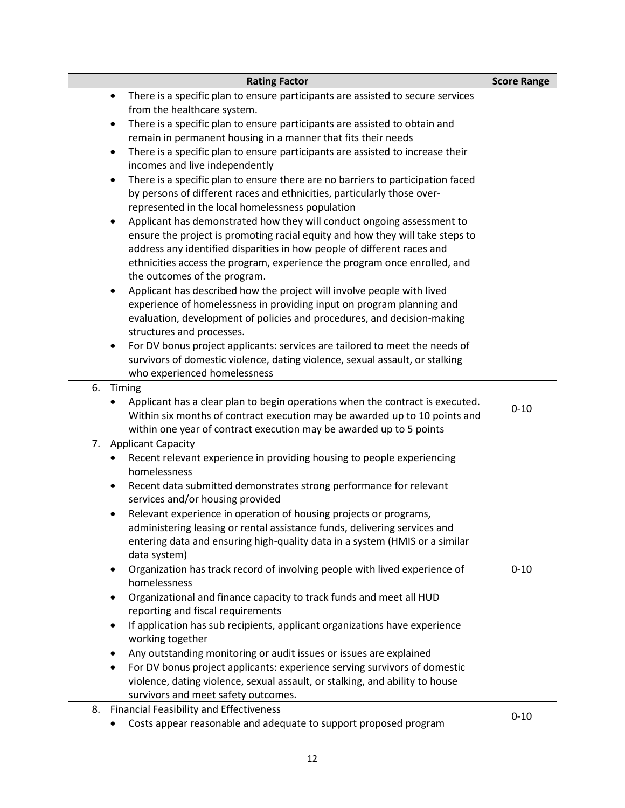| <b>Rating Factor</b>                                                                                   | <b>Score Range</b> |
|--------------------------------------------------------------------------------------------------------|--------------------|
| There is a specific plan to ensure participants are assisted to secure services<br>$\bullet$           |                    |
| from the healthcare system.                                                                            |                    |
| There is a specific plan to ensure participants are assisted to obtain and<br>٠                        |                    |
| remain in permanent housing in a manner that fits their needs                                          |                    |
| There is a specific plan to ensure participants are assisted to increase their<br>$\bullet$            |                    |
| incomes and live independently                                                                         |                    |
| There is a specific plan to ensure there are no barriers to participation faced<br>$\bullet$           |                    |
| by persons of different races and ethnicities, particularly those over-                                |                    |
| represented in the local homelessness population                                                       |                    |
| Applicant has demonstrated how they will conduct ongoing assessment to<br>٠                            |                    |
| ensure the project is promoting racial equity and how they will take steps to                          |                    |
| address any identified disparities in how people of different races and                                |                    |
| ethnicities access the program, experience the program once enrolled, and                              |                    |
| the outcomes of the program.<br>Applicant has described how the project will involve people with lived |                    |
| ٠<br>experience of homelessness in providing input on program planning and                             |                    |
| evaluation, development of policies and procedures, and decision-making                                |                    |
| structures and processes.                                                                              |                    |
| For DV bonus project applicants: services are tailored to meet the needs of<br>$\bullet$               |                    |
| survivors of domestic violence, dating violence, sexual assault, or stalking                           |                    |
| who experienced homelessness                                                                           |                    |
| 6. Timing                                                                                              |                    |
| Applicant has a clear plan to begin operations when the contract is executed.                          |                    |
| Within six months of contract execution may be awarded up to 10 points and                             | $0 - 10$           |
| within one year of contract execution may be awarded up to 5 points                                    |                    |
| <b>Applicant Capacity</b><br>7.                                                                        |                    |
| Recent relevant experience in providing housing to people experiencing<br>$\bullet$                    |                    |
| homelessness                                                                                           |                    |
| Recent data submitted demonstrates strong performance for relevant<br>٠                                |                    |
| services and/or housing provided                                                                       |                    |
| Relevant experience in operation of housing projects or programs,                                      |                    |
| administering leasing or rental assistance funds, delivering services and                              |                    |
| entering data and ensuring high-quality data in a system (HMIS or a similar                            |                    |
| data system)                                                                                           |                    |
| Organization has track record of involving people with lived experience of<br>٠                        | $0 - 10$           |
| homelessness                                                                                           |                    |
| Organizational and finance capacity to track funds and meet all HUD<br>٠                               |                    |
| reporting and fiscal requirements                                                                      |                    |
| If application has sub recipients, applicant organizations have experience<br>٠                        |                    |
| working together                                                                                       |                    |
| Any outstanding monitoring or audit issues or issues are explained<br>٠                                |                    |
| For DV bonus project applicants: experience serving survivors of domestic<br>$\bullet$                 |                    |
| violence, dating violence, sexual assault, or stalking, and ability to house                           |                    |
| survivors and meet safety outcomes.<br>8. Financial Feasibility and Effectiveness                      |                    |
|                                                                                                        | $0 - 10$           |
| Costs appear reasonable and adequate to support proposed program                                       |                    |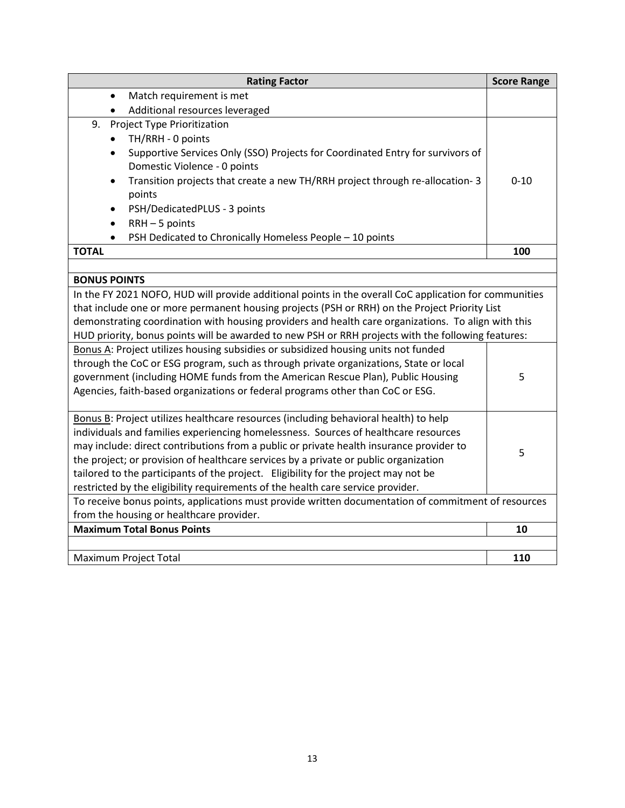| <b>Rating Factor</b>                                                                                           | <b>Score Range</b> |  |  |  |
|----------------------------------------------------------------------------------------------------------------|--------------------|--|--|--|
| Match requirement is met<br>$\bullet$                                                                          |                    |  |  |  |
| Additional resources leveraged                                                                                 |                    |  |  |  |
| <b>Project Type Prioritization</b><br>9.                                                                       |                    |  |  |  |
| TH/RRH - 0 points                                                                                              |                    |  |  |  |
| Supportive Services Only (SSO) Projects for Coordinated Entry for survivors of<br>Domestic Violence - 0 points |                    |  |  |  |
| Transition projects that create a new TH/RRH project through re-allocation-3<br>$\bullet$                      | $0 - 10$           |  |  |  |
| points                                                                                                         |                    |  |  |  |
| PSH/DedicatedPLUS - 3 points                                                                                   |                    |  |  |  |
| $RRH - 5$ points                                                                                               |                    |  |  |  |
| PSH Dedicated to Chronically Homeless People - 10 points                                                       |                    |  |  |  |
| <b>TOTAL</b>                                                                                                   | 100                |  |  |  |
|                                                                                                                |                    |  |  |  |
| <b>BONUS POINTS</b>                                                                                            |                    |  |  |  |
| In the FY 2021 NOFO, HUD will provide additional points in the overall CoC application for communities         |                    |  |  |  |
| that include one or more permanent housing projects (PSH or RRH) on the Project Priority List                  |                    |  |  |  |
| demonstrating coordination with housing providers and health care organizations. To align with this            |                    |  |  |  |
| HUD priority, bonus points will be awarded to new PSH or RRH projects with the following features:             |                    |  |  |  |
| Bonus A: Project utilizes housing subsidies or subsidized housing units not funded                             |                    |  |  |  |
| through the CoC or ESG program, such as through private organizations, State or local                          | 5                  |  |  |  |
| government (including HOME funds from the American Rescue Plan), Public Housing                                |                    |  |  |  |
| Agencies, faith-based organizations or federal programs other than CoC or ESG.                                 |                    |  |  |  |
| Bonus B: Project utilizes healthcare resources (including behavioral health) to help                           |                    |  |  |  |
| individuals and families experiencing homelessness. Sources of healthcare resources                            |                    |  |  |  |
| may include: direct contributions from a public or private health insurance provider to                        |                    |  |  |  |
| the project; or provision of healthcare services by a private or public organization                           | 5                  |  |  |  |
| tailored to the participants of the project. Eligibility for the project may not be                            |                    |  |  |  |
| restricted by the eligibility requirements of the health care service provider.                                |                    |  |  |  |
| To receive bonus points, applications must provide written documentation of commitment of resources            |                    |  |  |  |
| from the housing or healthcare provider.                                                                       |                    |  |  |  |
| <b>Maximum Total Bonus Points</b>                                                                              | 10                 |  |  |  |
|                                                                                                                |                    |  |  |  |
| Maximum Project Total                                                                                          | 110                |  |  |  |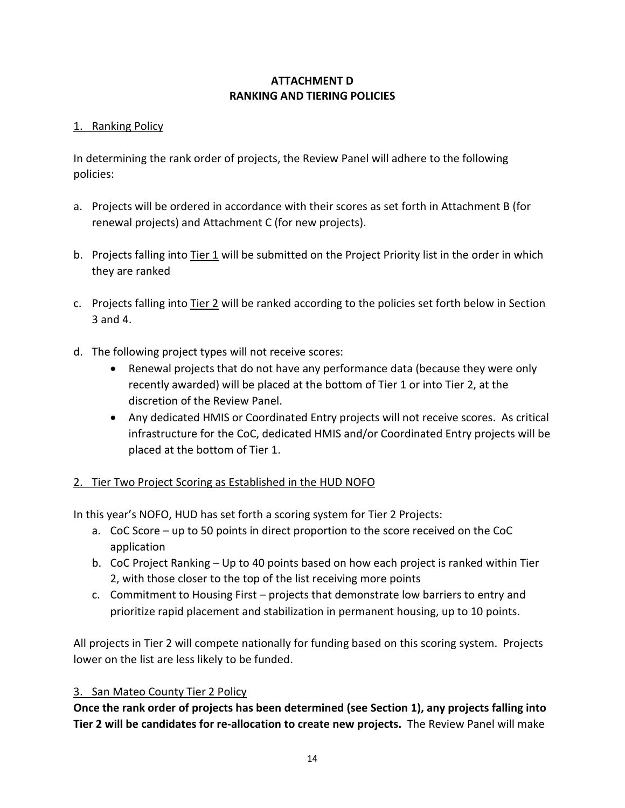# **ATTACHMENT D RANKING AND TIERING POLICIES**

## 1. Ranking Policy

In determining the rank order of projects, the Review Panel will adhere to the following policies:

- a. Projects will be ordered in accordance with their scores as set forth in Attachment B (for renewal projects) and Attachment C (for new projects).
- b. Projects falling into Tier 1 will be submitted on the Project Priority list in the order in which they are ranked
- c. Projects falling into Tier 2 will be ranked according to the policies set forth below in Section 3 and 4.
- d. The following project types will not receive scores:
	- Renewal projects that do not have any performance data (because they were only recently awarded) will be placed at the bottom of Tier 1 or into Tier 2, at the discretion of the Review Panel.
	- Any dedicated HMIS or Coordinated Entry projects will not receive scores. As critical infrastructure for the CoC, dedicated HMIS and/or Coordinated Entry projects will be placed at the bottom of Tier 1.

# 2. Tier Two Project Scoring as Established in the HUD NOFO

In this year's NOFO, HUD has set forth a scoring system for Tier 2 Projects:

- a. CoC Score up to 50 points in direct proportion to the score received on the CoC application
- b. CoC Project Ranking Up to 40 points based on how each project is ranked within Tier 2, with those closer to the top of the list receiving more points
- c. Commitment to Housing First projects that demonstrate low barriers to entry and prioritize rapid placement and stabilization in permanent housing, up to 10 points.

All projects in Tier 2 will compete nationally for funding based on this scoring system. Projects lower on the list are less likely to be funded.

# 3. San Mateo County Tier 2 Policy

**Once the rank order of projects has been determined (see Section 1), any projects falling into Tier 2 will be candidates for re-allocation to create new projects.** The Review Panel will make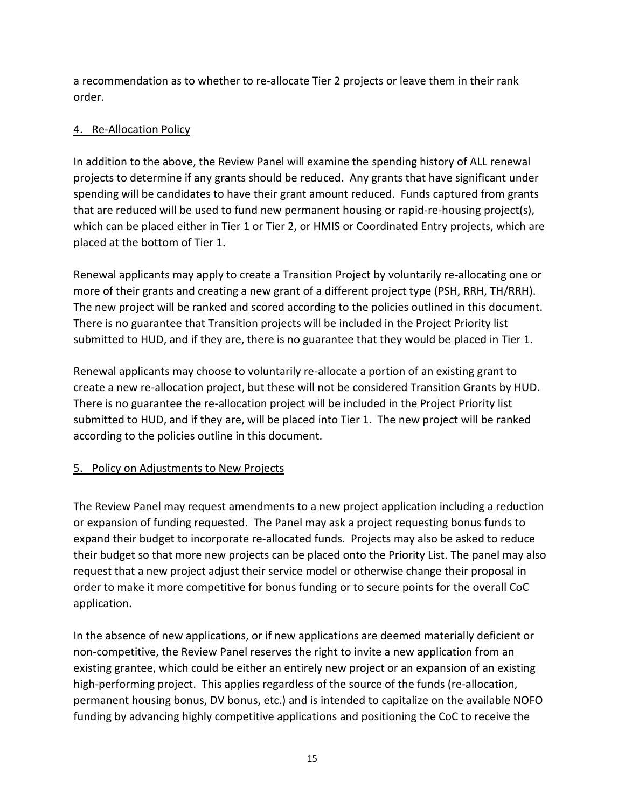a recommendation as to whether to re-allocate Tier 2 projects or leave them in their rank order.

## 4. Re-Allocation Policy

In addition to the above, the Review Panel will examine the spending history of ALL renewal projects to determine if any grants should be reduced. Any grants that have significant under spending will be candidates to have their grant amount reduced. Funds captured from grants that are reduced will be used to fund new permanent housing or rapid-re-housing project(s), which can be placed either in Tier 1 or Tier 2, or HMIS or Coordinated Entry projects, which are placed at the bottom of Tier 1.

Renewal applicants may apply to create a Transition Project by voluntarily re-allocating one or more of their grants and creating a new grant of a different project type (PSH, RRH, TH/RRH). The new project will be ranked and scored according to the policies outlined in this document. There is no guarantee that Transition projects will be included in the Project Priority list submitted to HUD, and if they are, there is no guarantee that they would be placed in Tier 1.

Renewal applicants may choose to voluntarily re-allocate a portion of an existing grant to create a new re-allocation project, but these will not be considered Transition Grants by HUD. There is no guarantee the re-allocation project will be included in the Project Priority list submitted to HUD, and if they are, will be placed into Tier 1. The new project will be ranked according to the policies outline in this document.

# 5. Policy on Adjustments to New Projects

The Review Panel may request amendments to a new project application including a reduction or expansion of funding requested. The Panel may ask a project requesting bonus funds to expand their budget to incorporate re-allocated funds. Projects may also be asked to reduce their budget so that more new projects can be placed onto the Priority List. The panel may also request that a new project adjust their service model or otherwise change their proposal in order to make it more competitive for bonus funding or to secure points for the overall CoC application.

In the absence of new applications, or if new applications are deemed materially deficient or non-competitive, the Review Panel reserves the right to invite a new application from an existing grantee, which could be either an entirely new project or an expansion of an existing high-performing project. This applies regardless of the source of the funds (re-allocation, permanent housing bonus, DV bonus, etc.) and is intended to capitalize on the available NOFO funding by advancing highly competitive applications and positioning the CoC to receive the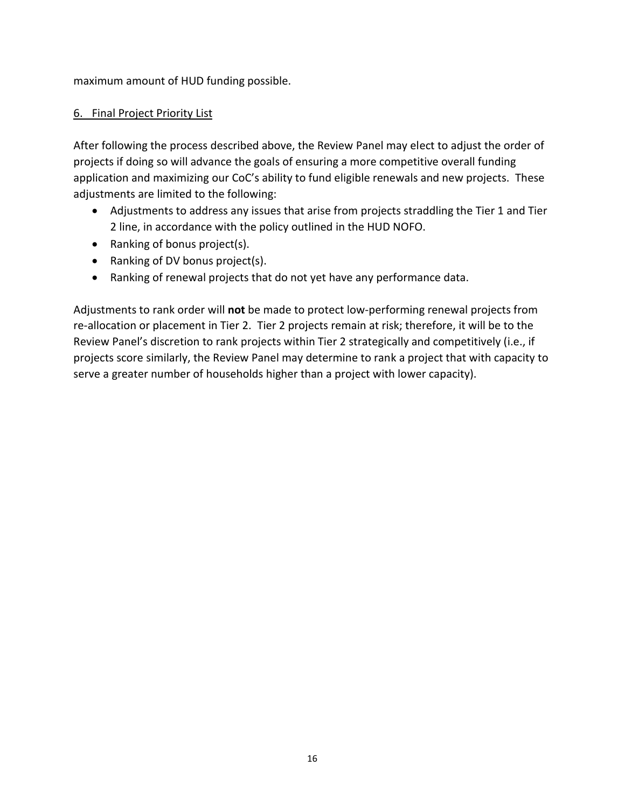maximum amount of HUD funding possible.

## 6. Final Project Priority List

After following the process described above, the Review Panel may elect to adjust the order of projects if doing so will advance the goals of ensuring a more competitive overall funding application and maximizing our CoC's ability to fund eligible renewals and new projects. These adjustments are limited to the following:

- Adjustments to address any issues that arise from projects straddling the Tier 1 and Tier 2 line, in accordance with the policy outlined in the HUD NOFO.
- Ranking of bonus project(s).
- Ranking of DV bonus project(s).
- Ranking of renewal projects that do not yet have any performance data.

Adjustments to rank order will **not** be made to protect low-performing renewal projects from re-allocation or placement in Tier 2. Tier 2 projects remain at risk; therefore, it will be to the Review Panel's discretion to rank projects within Tier 2 strategically and competitively (i.e., if projects score similarly, the Review Panel may determine to rank a project that with capacity to serve a greater number of households higher than a project with lower capacity).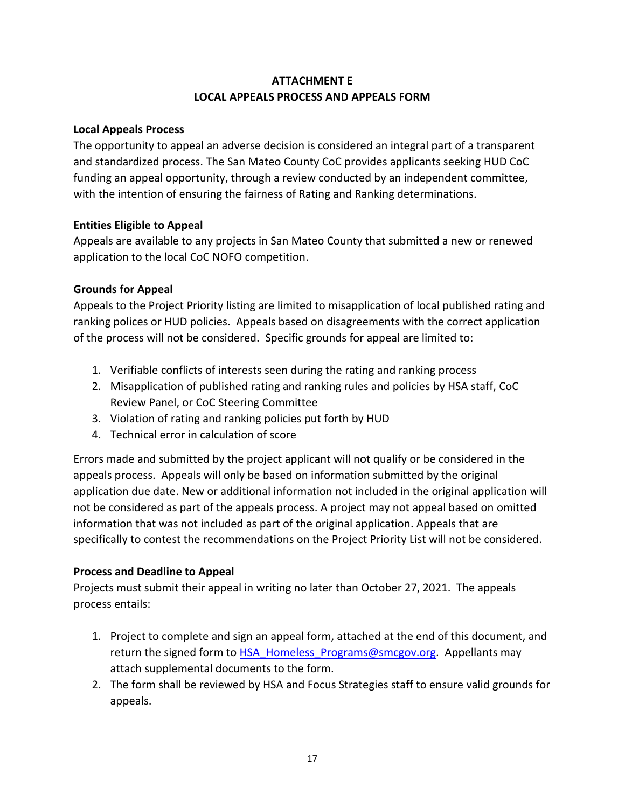# **ATTACHMENT E LOCAL APPEALS PROCESS AND APPEALS FORM**

#### **Local Appeals Process**

The opportunity to appeal an adverse decision is considered an integral part of a transparent and standardized process. The San Mateo County CoC provides applicants seeking HUD CoC funding an appeal opportunity, through a review conducted by an independent committee, with the intention of ensuring the fairness of Rating and Ranking determinations.

#### **Entities Eligible to Appeal**

Appeals are available to any projects in San Mateo County that submitted a new or renewed application to the local CoC NOFO competition.

#### **Grounds for Appeal**

Appeals to the Project Priority listing are limited to misapplication of local published rating and ranking polices or HUD policies. Appeals based on disagreements with the correct application of the process will not be considered. Specific grounds for appeal are limited to:

- 1. Verifiable conflicts of interests seen during the rating and ranking process
- 2. Misapplication of published rating and ranking rules and policies by HSA staff, CoC Review Panel, or CoC Steering Committee
- 3. Violation of rating and ranking policies put forth by HUD
- 4. Technical error in calculation of score

Errors made and submitted by the project applicant will not qualify or be considered in the appeals process. Appeals will only be based on information submitted by the original application due date. New or additional information not included in the original application will not be considered as part of the appeals process. A project may not appeal based on omitted information that was not included as part of the original application. Appeals that are specifically to contest the recommendations on the Project Priority List will not be considered.

### **Process and Deadline to Appeal**

Projects must submit their appeal in writing no later than October 27, 2021. The appeals process entails:

- 1. Project to complete and sign an appeal form, attached at the end of this document, and return the signed form to HSA Homeless Programs@smcgov.org. Appellants may attach supplemental documents to the form.
- 2. The form shall be reviewed by HSA and Focus Strategies staff to ensure valid grounds for appeals.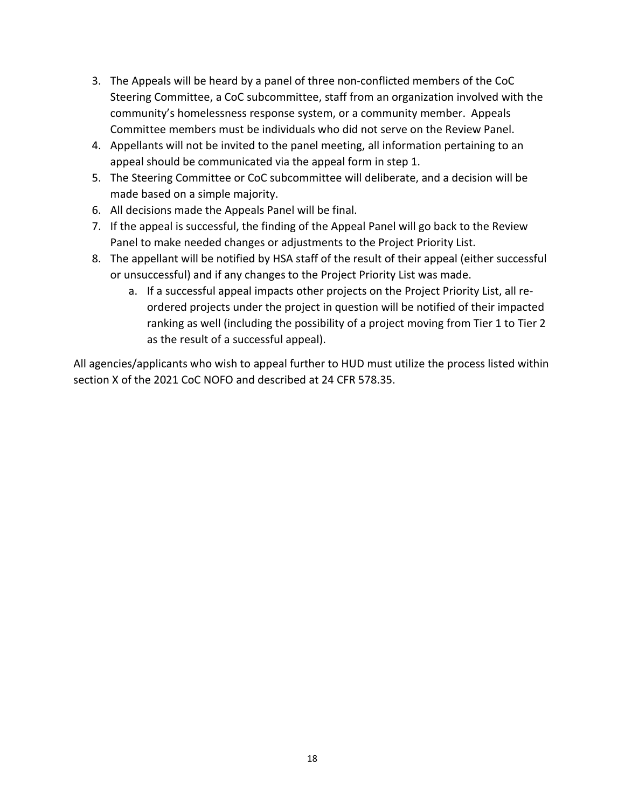- 3. The Appeals will be heard by a panel of three non-conflicted members of the CoC Steering Committee, a CoC subcommittee, staff from an organization involved with the community's homelessness response system, or a community member. Appeals Committee members must be individuals who did not serve on the Review Panel.
- 4. Appellants will not be invited to the panel meeting, all information pertaining to an appeal should be communicated via the appeal form in step 1.
- 5. The Steering Committee or CoC subcommittee will deliberate, and a decision will be made based on a simple majority.
- 6. All decisions made the Appeals Panel will be final.
- 7. If the appeal is successful, the finding of the Appeal Panel will go back to the Review Panel to make needed changes or adjustments to the Project Priority List.
- 8. The appellant will be notified by HSA staff of the result of their appeal (either successful or unsuccessful) and if any changes to the Project Priority List was made.
	- a. If a successful appeal impacts other projects on the Project Priority List, all reordered projects under the project in question will be notified of their impacted ranking as well (including the possibility of a project moving from Tier 1 to Tier 2 as the result of a successful appeal).

All agencies/applicants who wish to appeal further to HUD must utilize the process listed within section X of the 2021 CoC NOFO and described at 24 CFR 578.35.